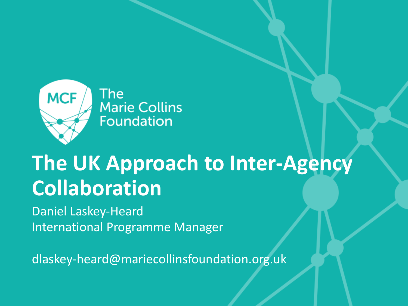

The **Marie Collins Foundation** 

## **The UK Approach to Inter-Agency Collaboration**

Daniel Laskey-Heard International Programme Manager

dlaskey-heard@mariecollinsfoundation.org.uk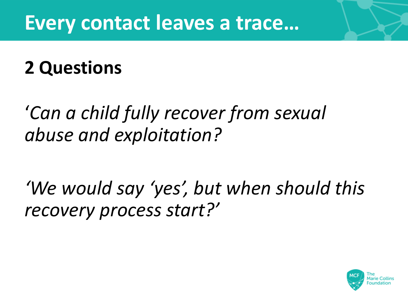### **Every contact leaves a trace…**

### **2 Questions**

### '*Can a child fully recover from sexual abuse and exploitation?*

*'We would say 'yes', but when should this recovery process start?'*

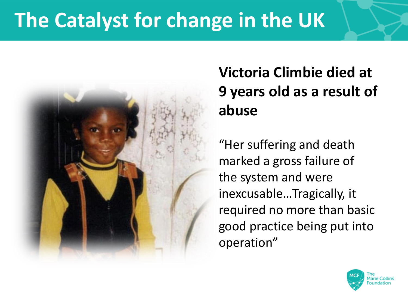## **The Catalyst for change in the UK**



#### **Victoria Climbie died at 9 years old as a result of abuse**

"Her suffering and death marked a gross failure of the system and were inexcusable…Tragically, it required no more than basic good practice being put into operation"

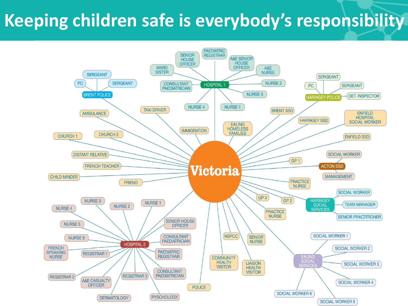#### **Keeping children safe is everybody's responsibility**

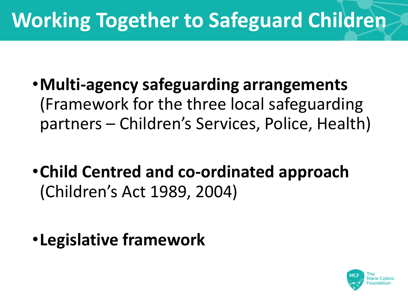## **Working Together to Safeguard Children**

- •**Multi-agency safeguarding arrangements**  (Framework for the three local safeguarding partners – Children's Services, Police, Health)
- •**Child Centred and co-ordinated approach**  (Children's Act 1989, 2004)
- •**Legislative framework**

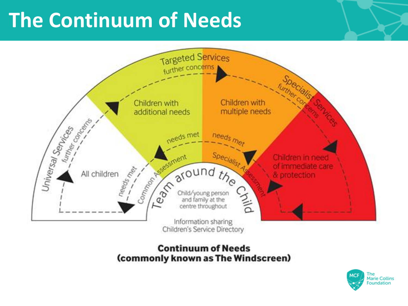## **The Continuum of Needs**



#### **Continuum of Needs** (commonly known as The Windscreen)

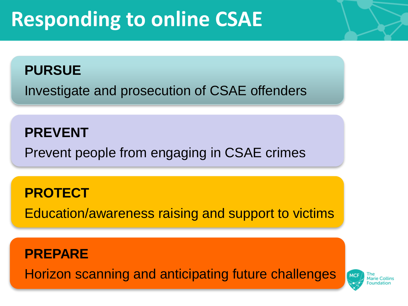## **Responding to online CSAE**

#### **PURSUE**

Investigate and prosecution of CSAE offenders

#### **PREVENT**

Prevent people from engaging in CSAE crimes

#### **PROTECT**

Education/awareness raising and support to victims

#### **PREPARE**

Horizon scanning and anticipating future challenges

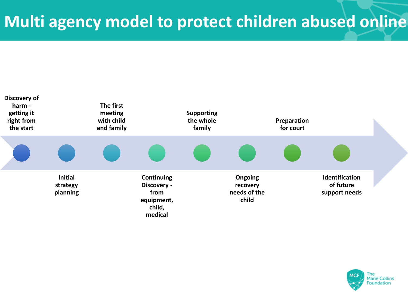

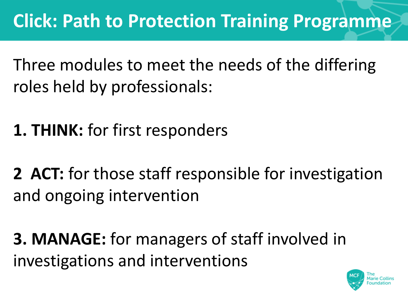Three modules to meet the needs of the differing roles held by professionals:

**1. THINK:** for first responders

**2 ACT:** for those staff responsible for investigation and ongoing intervention

**3. MANAGE:** for managers of staff involved in investigations and interventions

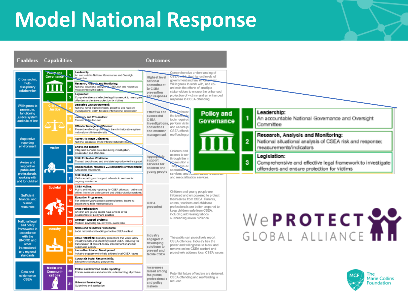## **Model National Response**

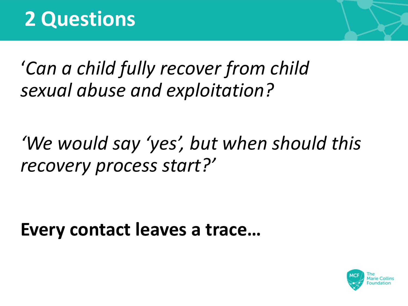### '*Can a child fully recover from child sexual abuse and exploitation?*

## *'We would say 'yes', but when should this recovery process start?'*

**Every contact leaves a trace…**